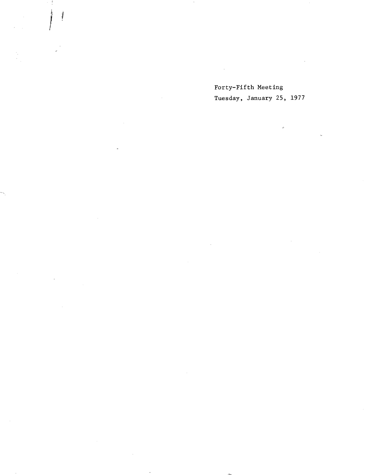Forty-Fifth Meeting Tuesday, January 25, 1977

 $\bar{\mathcal{A}}$ 

ļ

 $\mathcal{L}_{\mathcal{A}}$ 

 $\sim$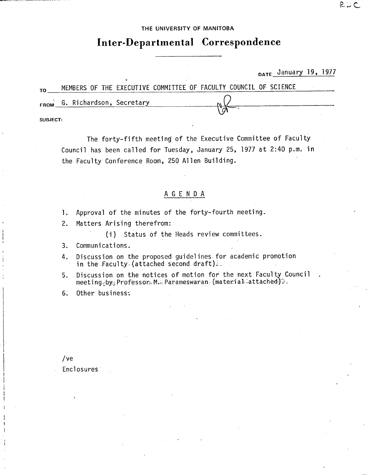## THE UNIVERSITY OF MANITOBA

# **Inter-Departmental Correspondence**

DATE January 19, 1977

| то       | MEMBERS OF THE EXECUTIVE COMMITTEE OF FACULTY COUNCIL OF SCIENCE |  |  |  |  |  |  |  |  |
|----------|------------------------------------------------------------------|--|--|--|--|--|--|--|--|
|          | FROM G. Richardson, Secretary                                    |  |  |  |  |  |  |  |  |
| SUBJECT: |                                                                  |  |  |  |  |  |  |  |  |

The forty-fifth meeting of the Executive Committee of Faculty Council has been called for Tuesday, January 25, 1977 at 2:40 p.m. in the Faculty Conference Room, 250 Allen Building.

# A G E N D A

- 1. Approval of the minutes of the forty-fourth meeting.
- Matters Arising therefrom:  $2.$

(i) Status of the Heads review committees.

- $3.$ Communications.
- Discussion on the proposed guidelines for academic promotion  $4.$ in the Faculty-(attached second draft).
- Discussion on the notices of motion for the next Faculty Council 5. meeting<sub>c</sub>by<sub>:</sub> Professon M. Parameswaran (material attached):

6. Other business:

/ ye

Enclosures

RUC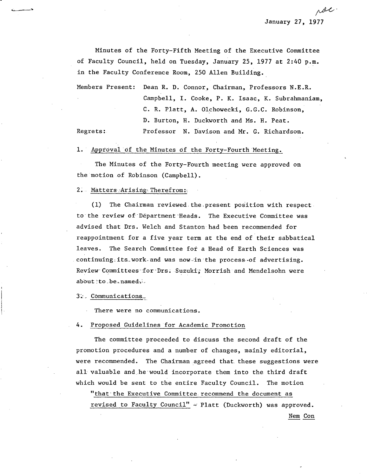Minutes of the Forty-Fifth Meeting of the Executive Committee of Faculty Council, held on Tuesday, January 25, 1977 at 2:40 p.m. in the Faculty Conference Room, 250 Allen Building.

Members Present: Dean R. D. Connor, Chairman, Professors N.E.R. Campbell, I. Cooke, P. K. Isaac, K. Subrahmaniam, C. R. Platt, A. Olchowecki, G.G.C. Robinson, D. Burton, H. Duckworth and Ms. H. Peat. Regrets:. Professor N. Davison and Mr. G. Richardson.

## 1. Approval of the Minutes of the Forty-Fourth Meeting.

The Minutes of the Forty-Fourth meeting were approved on the motion of Robinson (Campbell).

#### 2. Matters Arising Therefrom:

(1) The Chairman reviewed the present position with respect. to the review of Department Heads. The Executive Committee was advised that Drs. Welch and Stanton had been recommended for reappointment for a five year term at the end of their sabbatical leaves. The Search Committee fof a Head of Earth Sciences was continuing its work and was now in the process of advertising. Review Committees for Drs. Suzuki; Morrish and Mendelsohn were about to .be.named-..

3: Communications

There were no communications.

#### 4. Proposed Guidelines for Academic Promotion

The committee proceeded to discuss the second draft of the promotion procedures and a number of changes, mainly editorial, were recommended. The Chairman agreed that. these suggestions were all valuable and he would incorporate them into the third draft which would be sent to the entire Faculty Council. The motion

"that the Executive Committee recommend the document as revised to Faculty Council" - Platt (Duckworth) was approved. Nem Con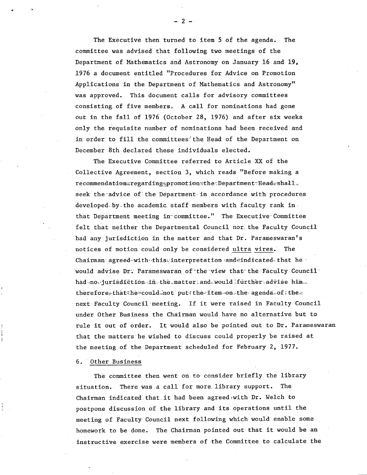The Executive then turned to item 5 of the agenda. The committee was advised that following two meetings of the Department of Mathematics and Astronomy on January 16 and 19, 1976 a document entitled "Procedures for Advice on Promotion Applications in the Department of Mathematics and Astronomy" was approved. This document calls for advisory committees consisting. of five members. A call for nominations had gone out in the fall of 1976 (October 28, 1976) and after six weeks only the requisite number of nominations had been received and in order to fill the committees' the Head of the Department on December 8th declared these individuals elected.

The Executive Committee referred to Article XX of the Collective Agreement, section 3, which reads "Before making a recommendation=regarding=promotion=the=Department=Head=shall\_ seek the advice of the Department in accordance with procedures developed by the academic staff members with faculty rank in. that Department meeting in committee." The Executive Committee felt that neither the Departmental Council nor. the Faculty Council had any jurisdiction in the matter and that Dr. Parameswaran's notices of motion could only be considered ultra vires. The Chairman agreed-with this interpretation and indicated that hewould advise Dr. Parameswaran of the view that the Faculty Council had no jurisdiction iñ the matter and would further advise him. therefore that the could not put the item-on-the agenda. of the  $\epsilon$ next- Faculty Council-meeting. If it were raised in Faculty Council under Other Business the Chairman would have no alternative but to rule it out of order. It would also be pointed out to Dr. Parameswaran that the matters he wished to discuss could properly be raised at the meeting of the Department scheduled for February 2, 1977.

6. Other Business

The committee then went on to consider briefly the library situation. There was .a call for more. library support. The Chairman indicated that.it had been agreed with Dr. Welch to postpone discussion of the library and its operations until the meeting of Faculty Council next following which would enable some homework to be done. The Chairman pointed out that it would be an instructive exercise were members of the Committee to calculate the

 $-2-$